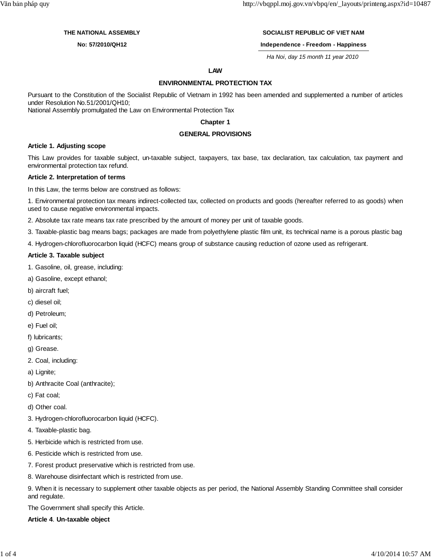## **THE NATIONAL ASSEMBLY**

# **No: 57/2010/QH12**

# **SOCIALIST REPUBLIC OF VIET NAM**

## **Independence - Freedom - Happiness**

Ha Noi, day 15 month 11 year 2010

## **LAW**

# **ENVIRONMENTAL PROTECTION TAX**

Pursuant to the Constitution of the Socialist Republic of Vietnam in 1992 has been amended and supplemented a number of articles under Resolution No.51/2001/QH10;

National Assembly promulgated the Law on Environmental Protection Tax

# **Chapter 1**

## **GENERAL PROVISIONS**

## **Article 1. Adjusting scope**

This Law provides for taxable subject, un-taxable subject, taxpayers, tax base, tax declaration, tax calculation, tax payment and environmental protection tax refund.

#### **Article 2. Interpretation of terms**

In this Law, the terms below are construed as follows:

1. Environmental protection tax means indirect-collected tax, collected on products and goods (hereafter referred to as goods) when used to cause negative environmental impacts.

2. Absolute tax rate means tax rate prescribed by the amount of money per unit of taxable goods.

3. Taxable-plastic bag means bags; packages are made from polyethylene plastic film unit, its technical name is a porous plastic bag

4. Hydrogen-chlorofluorocarbon liquid (HCFC) means group of substance causing reduction of ozone used as refrigerant.

## **Article 3. Taxable subject**

- 1. Gasoline, oil, grease, including:
- a) Gasoline, except ethanol;
- b) aircraft fuel;
- c) diesel oil;
- d) Petroleum;
- e) Fuel oil;
- f) lubricants;
- g) Grease.
- 2. Coal, including:
- a) Lignite;
- b) Anthracite Coal (anthracite);
- c) Fat coal;
- d) Other coal.
- 3. Hydrogen-chlorofluorocarbon liquid (HCFC).
- 4. Taxable-plastic bag.
- 5. Herbicide which is restricted from use.
- 6. Pesticide which is restricted from use.
- 7. Forest product preservative which is restricted from use.
- 8. Warehouse disinfectant which is restricted from use.

9. When it is necessary to supplement other taxable objects as per period, the National Assembly Standing Committee shall consider and regulate.

The Government shall specify this Article.

**Article 4**. **Un-taxable object**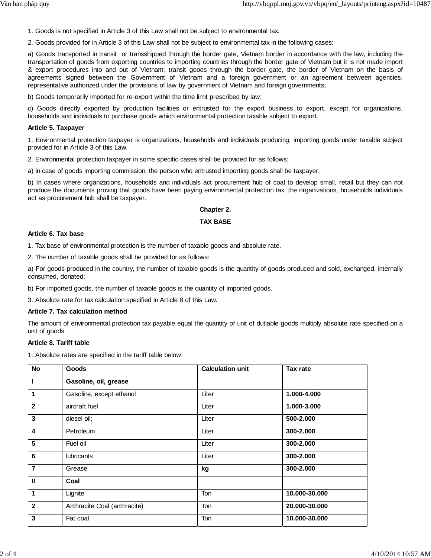1. Goods is not specified in Article 3 of this Law shall not be subject to environmental tax.

2. Goods provided for in Article 3 of this Law shall not be subject to environmental tax in the following cases:

a) Goods transported in transit or transshipped through the border gate, Vietnam border in accordance with the law, including the transportation of goods from exporting countries to importing countries through the border gate of Vietnam but it is not made import & export procedures into and out of Vietnam; transit goods through the border gate, the border of Vietnam on the basis of agreements signed between the Government of Vietnam and a foreign government or an agreement between agencies, representative authorized under the provisions of law by government of Vietnam and foreign governments;

b) Goods temporarily imported for re-export within the time limit prescribed by law;

c) Goods directly exported by production facilities or entrusted for the export business to export, except for organizations, households and individuals to purchase goods which environmental protection taxable subject to export.

# **Article 5. Taxpayer**

1. Environmental protection taxpayer is organizations, households and individuals producing, importing goods under taxable subject provided for in Article 3 of this Law.

2. Environmental protection taxpayer in some specific cases shall be provided for as follows:

a) in case of goods importing commission, the person who entrusted importing goods shall be taxpayer;

b) In cases where organizations, households and individuals act procurement hub of coal to develop small, retail but they can not produce the documents proving that goods have been paying environmental protection tax, the organizations, households individuals act as procurement hub shall be taxpayer.

## **Chapter 2.**

# **TAX BASE**

#### **Article 6. Tax base**

1. Tax base of environmental protection is the number of taxable goods and absolute rate.

2. The number of taxable goods shall be provided for as follows:

a) For goods produced in the country, the number of taxable goods is the quantity of goods produced and sold, exchanged, internally consumed, donated;

b) For imported goods, the number of taxable goods is the quantity of imported goods.

3. Absolute rate for tax calculation specified in Article 8 of this Law.

## **Article 7. Tax calculation method**

The amount of environmental protection tax payable equal the quantity of unit of dutiable goods multiply absolute rate specified on a unit of goods.

# **Article 8. Tariff table**

1. Absolute rates are specified in the tariff table below:

| <b>No</b>               | <b>Goods</b>                 | <b>Calculation unit</b> | Tax rate      |
|-------------------------|------------------------------|-------------------------|---------------|
| $\mathbf{I}$            | Gasoline, oil, grease        |                         |               |
| $\overline{\mathbf{1}}$ | Gasoline, except ethanol     | Liter                   | 1.000-4.000   |
| $\overline{2}$          | aircraft fuel                | Liter                   | 1.000-3.000   |
| $\mathbf{3}$            | diesel oil;                  | Liter                   | 500-2.000     |
| $\overline{\mathbf{4}}$ | <b>Petroleum</b>             | Liter                   | 300-2.000     |
| $5\phantom{1}$          | Fuel oil                     | Liter                   | 300-2.000     |
| $6\phantom{1}6$         | lubricants                   | Liter                   | 300-2.000     |
| $\overline{7}$          | Grease                       | kg                      | 300-2.000     |
| $\mathbf{I}$            | Coal                         |                         |               |
| $\overline{1}$          | Lignite                      | Ton                     | 10.000-30.000 |
| $\overline{2}$          | Anthracite Coal (anthracite) | Ton                     | 20.000-30.000 |
| $\mathbf{3}$            | Fat coal                     | Ton                     | 10.000-30.000 |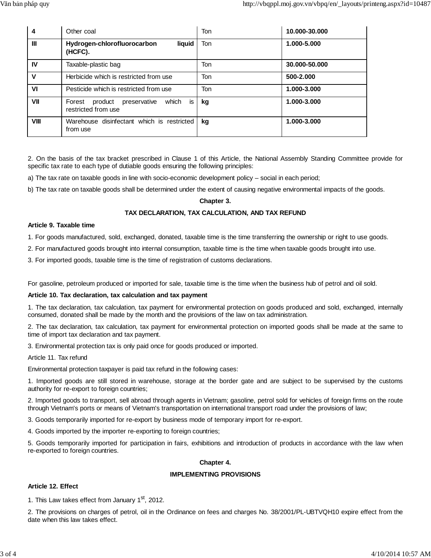| 4    | Other coal                                                              | Ton | 10.000-30.000 |
|------|-------------------------------------------------------------------------|-----|---------------|
| Ш    | liquid<br>Hydrogen-chlorofluorocarbon<br>(HCFC).                        | Ton | 1.000-5.000   |
| IV   | Taxable-plastic bag                                                     | Ton | 30.000-50.000 |
| V    | Herbicide which is restricted from use                                  | Ton | 500-2.000     |
| VI   | Pesticide which is restricted from use                                  | Ton | 1.000-3.000   |
| VII  | is<br>which<br>preservative<br>product<br>Forest<br>restricted from use | kg  | 1.000-3.000   |
| VIII | Warehouse disinfectant which is restricted<br>from use                  | kg  | 1.000-3.000   |

2. On the basis of the tax bracket prescribed in Clause 1 of this Article, the National Assembly Standing Committee provide for specific tax rate to each type of dutiable goods ensuring the following principles:

a) The tax rate on taxable goods in line with socio-economic development policy – social in each period;

b) The tax rate on taxable goods shall be determined under the extent of causing negative environmental impacts of the goods.

# **Chapter 3.**

# **TAX DECLARATION, TAX CALCULATION, AND TAX REFUND**

# **Article 9. Taxable time**

1. For goods manufactured, sold, exchanged, donated, taxable time is the time transferring the ownership or right to use goods.

2. For manufactured goods brought into internal consumption, taxable time is the time when taxable goods brought into use.

3. For imported goods, taxable time is the time of registration of customs declarations.

For gasoline, petroleum produced or imported for sale, taxable time is the time when the business hub of petrol and oil sold.

## **Article 10. Tax declaration, tax calculation and tax payment**

1. The tax declaration, tax calculation, tax payment for environmental protection on goods produced and sold, exchanged, internally consumed, donated shall be made by the month and the provisions of the law on tax administration.

2. The tax declaration, tax calculation, tax payment for environmental protection on imported goods shall be made at the same to time of import tax declaration and tax payment.

3. Environmental protection tax is only paid once for goods produced or imported.

## Article 11. Tax refund

Environmental protection taxpayer is paid tax refund in the following cases:

1. Imported goods are still stored in warehouse, storage at the border gate and are subject to be supervised by the customs authority for re-export to foreign countries;

2. Imported goods to transport, sell abroad through agents in Vietnam; gasoline, petrol sold for vehicles of foreign firms on the route through Vietnam's ports or means of Vietnam's transportation on international transport road under the provisions of law;

3. Goods temporarily imported for re-export by business mode of temporary import for re-export.

4. Goods imported by the importer re-exporting to foreign countries;

5. Goods temporarily imported for participation in fairs, exhibitions and introduction of products in accordance with the law when re-exported to foreign countries.

# **Chapter 4.**

# **IMPLEMENTING PROVISIONS**

# **Article 12. Effect**

1. This Law takes effect from January 1<sup>st</sup>, 2012.

2. The provisions on charges of petrol, oil in the Ordinance on fees and charges No. 38/2001/PL-UBTVQH10 expire effect from the date when this law takes effect.